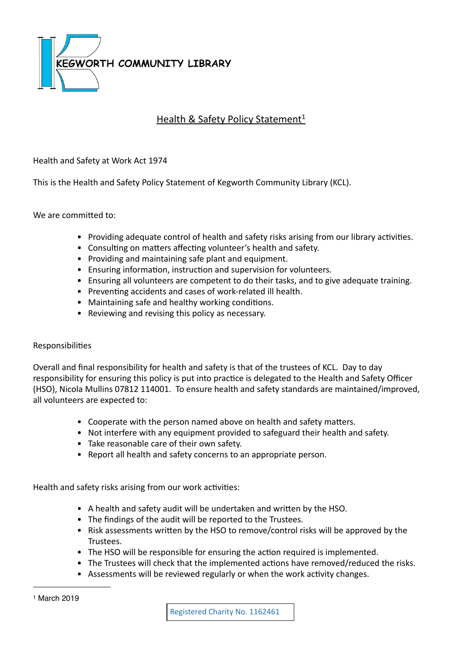

# Health & Safety Policy Statement<sup>[1](#page-0-0)</sup>

# Health and Safety at Work Act 1974

This is the Health and Safety Policy Statement of Kegworth Community Library (KCL).

We are committed to:

- Providing adequate control of health and safety risks arising from our library activities.
- Consulting on matters affecting volunteer's health and safety.
- Providing and maintaining safe plant and equipment.
- Ensuring information, instruction and supervision for volunteers.
- Ensuring all volunteers are competent to do their tasks, and to give adequate training.
- Preventing accidents and cases of work-related ill health.
- Maintaining safe and healthy working conditions.
- Reviewing and revising this policy as necessary.

## Responsibilities

Overall and final responsibility for health and safety is that of the trustees of KCL. Day to day responsibility for ensuring this policy is put into practice is delegated to the Health and Safety Officer (HSO), Nicola Mullins 07812 114001. To ensure health and safety standards are maintained/improved, all volunteers are expected to:

- Cooperate with the person named above on health and safety matters.
- Not interfere with any equipment provided to safeguard their health and safety.
- Take reasonable care of their own safety.
- Report all health and safety concerns to an appropriate person.

Health and safety risks arising from our work activities:

- A health and safety audit will be undertaken and written by the HSO.
- The findings of the audit will be reported to the Trustees.
- Risk assessments written by the HSO to remove/control risks will be approved by the Trustees.
- The HSO will be responsible for ensuring the action required is implemented.
- The Trustees will check that the implemented actions have removed/reduced the risks.
- <span id="page-0-0"></span>• Assessments will be reviewed regularly or when the work activity changes.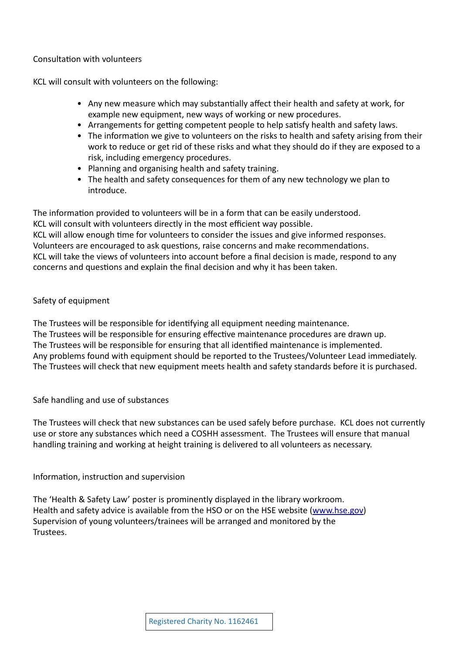## Consultation with volunteers

KCL will consult with volunteers on the following:

- Any new measure which may substantially affect their health and safety at work, for example new equipment, new ways of working or new procedures.
- Arrangements for getting competent people to help satisfy health and safety laws.
- The information we give to volunteers on the risks to health and safety arising from their work to reduce or get rid of these risks and what they should do if they are exposed to a risk, including emergency procedures.
- Planning and organising health and safety training.
- The health and safety consequences for them of any new technology we plan to introduce.

The information provided to volunteers will be in a form that can be easily understood. KCL will consult with volunteers directly in the most efficient way possible. KCL will allow enough time for volunteers to consider the issues and give informed responses. Volunteers are encouraged to ask questions, raise concerns and make recommendations. KCL will take the views of volunteers into account before a final decision is made, respond to any concerns and questions and explain the final decision and why it has been taken.

## Safety of equipment

The Trustees will be responsible for identifying all equipment needing maintenance. The Trustees will be responsible for ensuring effective maintenance procedures are drawn up. The Trustees will be responsible for ensuring that all identified maintenance is implemented. Any problems found with equipment should be reported to the Trustees/Volunteer Lead immediately. The Trustees will check that new equipment meets health and safety standards before it is purchased.

## Safe handling and use of substances

The Trustees will check that new substances can be used safely before purchase. KCL does not currently use or store any substances which need a COSHH assessment. The Trustees will ensure that manual handling training and working at height training is delivered to all volunteers as necessary.

## Information, instruction and supervision

The 'Health & Safety Law' poster is prominently displayed in the library workroom. Health and safety advice is available from the HSO or on the HSE website ([www.hse.gov\)](http://www.hse.gov) Supervision of young volunteers/trainees will be arranged and monitored by the Trustees.